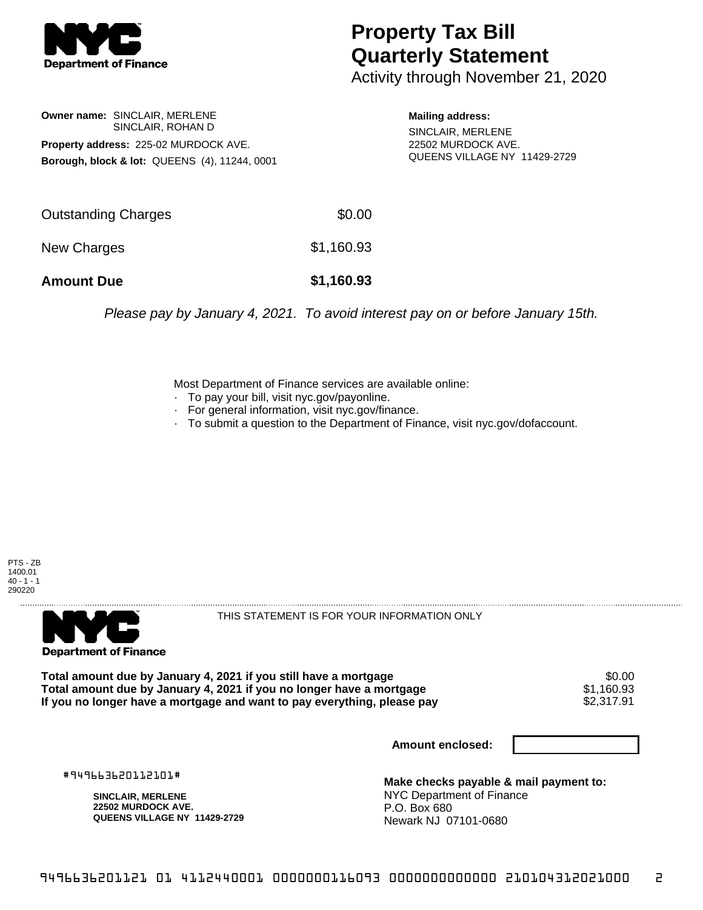

## **Property Tax Bill Quarterly Statement**

Activity through November 21, 2020

**Owner name:** SINCLAIR, MERLENE SINCLAIR, ROHAN D **Property address:** 225-02 MURDOCK AVE. **Borough, block & lot:** QUEENS (4), 11244, 0001 **Mailing address:**

SINCLAIR, MERLENE 22502 MURDOCK AVE. QUEENS VILLAGE NY 11429-2729

| <b>Amount Due</b>   | \$1,160.93 |
|---------------------|------------|
| New Charges         | \$1,160.93 |
| Outstanding Charges | \$0.00     |

Please pay by January 4, 2021. To avoid interest pay on or before January 15th.

Most Department of Finance services are available online:

- · To pay your bill, visit nyc.gov/payonline.
- For general information, visit nyc.gov/finance.
- · To submit a question to the Department of Finance, visit nyc.gov/dofaccount.





THIS STATEMENT IS FOR YOUR INFORMATION ONLY

Total amount due by January 4, 2021 if you still have a mortgage \$0.00<br>Total amount due by January 4, 2021 if you no longer have a mortgage \$1.160.93 **Total amount due by January 4, 2021 if you no longer have a mortgage**  $$1,160.93$ **<br>If you no longer have a mortgage and want to pay everything, please pay**  $$2,317.91$ If you no longer have a mortgage and want to pay everything, please pay

**Amount enclosed:**

#949663620112101#

**SINCLAIR, MERLENE 22502 MURDOCK AVE. QUEENS VILLAGE NY 11429-2729**

**Make checks payable & mail payment to:** NYC Department of Finance P.O. Box 680 Newark NJ 07101-0680